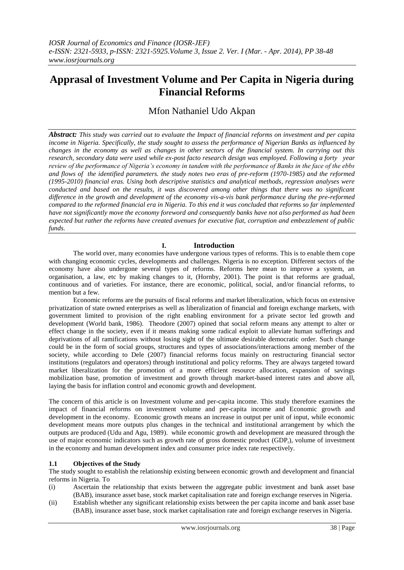# **Apprasal of Investment Volume and Per Capita in Nigeria during Financial Reforms**

Mfon Nathaniel Udo Akpan

*Abstract: This study was carried out to evaluate the Impact of financial reforms on investment and per capita income in Nigeria. Specifically, the study sought to assess the performance of Nigerian Banks as influenced by changes in the economy as well as changes in other sectors of the financial system. In carrying out this research, secondary data were used while ex-post facto research design was employed. Following a forty year review of the performance of Nigeria's economy in tandem with the performance of Banks in the face of the ebbs and flows of the identified parameters. the study notes two eras of pre-reform (1970-1985) and the reformed (1995-2010) financial eras. Using both descriptive statistics and analytical methods, regression analyses were conducted and based on the results, it was discovered among other things that there was no significant difference in the growth and development of the economy vis-a-vis bank performance during the pre-reformed compared to the reformed financial era in Nigeria. To this end it was concluded that reforms so far implemented have not significantly move the economy foreword and consequently banks have not also performed as had been expected but rather the reforms have created avenues for executive fiat, corruption and embezzlement of public funds.* 

# **I. Introduction**

The world over, many economies have undergone various types of reforms. This is to enable them cope with changing economic cycles, developments and challenges. Nigeria is no exception. Different sectors of the economy have also undergone several types of reforms. Reforms here mean to improve a system, an organisation, a law, etc by making changes to it, (Hornby, 2001). The point is that reforms are gradual, continuous and of varieties. For instance, there are economic, political, social, and/or financial reforms, to mention but a few.

Economic reforms are the pursuits of fiscal reforms and market liberalization, which focus on extensive privatization of state owned enterprises as well as liberalization of financial and foreign exchange markets, with government limited to provision of the right enabling environment for a private sector led growth and development (World bank, 1986). Theodore (2007) opined that social reform means any attempt to alter or effect change in the society, even if it means making some radical exploit to alleviate human sufferings and deprivations of all ramifications without losing sight of the ultimate desirable democratic order. Such change could be in the form of social groups, structures and types of associations/interactions among member of the society, while according to Dele (2007) financial reforms focus mainly on restructuring financial sector institutions (regulators and operators) through institutional and policy reforms. They are always targeted toward market liberalization for the promotion of a more efficient resource allocation, expansion of savings mobilization base, promotion of investment and growth through market-based interest rates and above all, laying the basis for inflation control and economic growth and development.

The concern of this article is on Investment volume and per-capita income. This study therefore examines the impact of financial reforms on investment volume and per-capita income and Economic growth and development in the economy. Economic growth means an increase in output per unit of input, while economic development means more outputs plus changes in the technical and institutional arrangement by which the outputs are produced (Udu and Agu, 1989). while economic growth and development are measured through the use of major economic indicators such as growth rate of gross domestic product (GDP<sub>r</sub>), volume of investment in the economy and human development index and consumer price index rate respectively.

## **1.1 Objectives of the Study**

The study sought to establish the relationship existing between economic growth and development and financial reforms in Nigeria. To

- (i) Ascertain the relationship that exists between the aggregate public investment and bank asset base (BAB), insurance asset base, stock market capitalisation rate and foreign exchange reserves in Nigeria.
- (ii) Establish whether any significant relationship exists between the per capita income and bank asset base (BAB), insurance asset base, stock market capitalisation rate and foreign exchange reserves in Nigeria.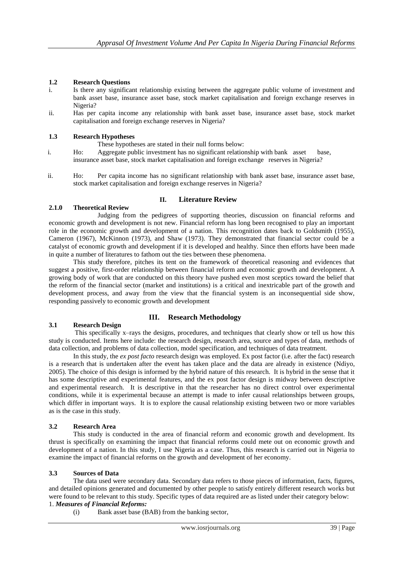# **1.2 Research Questions**

- i. Is there any significant relationship existing between the aggregate public volume of investment and bank asset base, insurance asset base, stock market capitalisation and foreign exchange reserves in Nigeria?
- ii. Has per capita income any relationship with bank asset base, insurance asset base, stock market capitalisation and foreign exchange reserves in Nigeria?

## **1.3 Research Hypotheses**

- These hypotheses are stated in their null forms below:
- i. Ho: Aggregate public investment has no significant relationship with bank asset base, insurance asset base, stock market capitalisation and foreign exchange reserves in Nigeria?
- ii. Ho: Per capita income has no significant relationship with bank asset base, insurance asset base, stock market capitalisation and foreign exchange reserves in Nigeria?

## **II. Literature Review**

## **2.1.0 Theoretical Review**

Judging from the pedigrees of supporting theories, discussion on financial reforms and economic growth and development is not new. Financial reform has long been recognised to play an important role in the economic growth and development of a nation. This recognition dates back to Goldsmith (1955), Cameron (1967), McKinnon (1973), and Shaw (1973). They demonstrated that financial sector could be a catalyst of economic growth and development if it is developed and healthy. Since then efforts have been made in quite a number of literatures to fathom out the ties between these phenomena.

This study therefore, pitches its tent on the framework of theoretical reasoning and evidences that suggest a positive, first-order relationship between financial reform and economic growth and development. A growing body of work that are conducted on this theory have pushed even most sceptics toward the belief that the reform of the financial sector (market and institutions) is a critical and inextricable part of the growth and development process, and away from the view that the financial system is an inconsequential side show, responding passively to economic growth and development

# **3.1 Research Design**

# **III. Research Methodology**

This specifically x–rays the designs, procedures, and techniques that clearly show or tell us how this study is conducted. Items here include: the research design, research area, source and types of data, methods of data collection, and problems of data collection, model specification, and techniques of data treatment.

In this study, the *ex post facto* research design was employed. Ex post factor (i.e. after the fact) research is a research that is undertaken after the event has taken place and the data are already in existence (Ndiyo, 2005). The choice of this design is informed by the hybrid nature of this research. It is hybrid in the sense that it has some descriptive and experimental features, and the ex post factor design is midway between descriptive and experimental research. It is descriptive in that the researcher has no direct control over experimental conditions, while it is experimental because an attempt is made to infer causal relationships between groups, which differ in important ways. It is to explore the causal relationship existing between two or more variables as is the case in this study.

## **3.2 Research Area**

This study is conducted in the area of financial reform and economic growth and development. Its thrust is specifically on examining the impact that financial reforms could mete out on economic growth and development of a nation. In this study, I use Nigeria as a case. Thus, this research is carried out in Nigeria to examine the impact of financial reforms on the growth and development of her economy.

## **3.3 Sources of Data**

The data used were secondary data. Secondary data refers to those pieces of information, facts, figures, and detailed opinions generated and documented by other people to satisfy entirely different research works but were found to be relevant to this study. Specific types of data required are as listed under their category below: 1. *Measures of Financial Reforms:*

(i) Bank asset base (BAB) from the banking sector,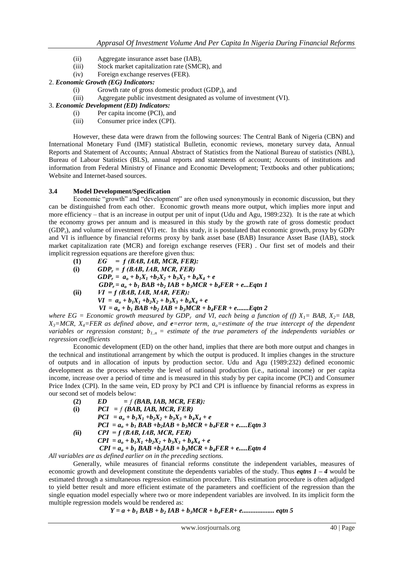- (ii) Aggregate insurance asset base (IAB),
- (iii) Stock market capitalization rate (SMCR), and
- (iv) Foreign exchange reserves (FER).
- 2. *Economic Growth (EG) Indicators:*
	- (i) Growth rate of gross domestic product  $(GDP_r)$ , and
	- (iii) Aggregate public investment designated as volume of investment (VI).
- 3. *Economic Development (ED) Indicators:*
	- (i) Per capita income (PCI), and
	- (iii) Consumer price index (CPI).

However, these data were drawn from the following sources: The Central Bank of Nigeria (CBN) and International Monetary Fund (IMF) statistical Bulletin, economic reviews, monetary survey data, Annual Reports and Statement of Accounts; Annual Abstract of Statistics from the National Bureau of statistics (NBL), Bureau of Labour Statistics (BLS), annual reports and statements of account; Accounts of institutions and information from Federal Ministry of Finance and Economic Development; Textbooks and other publications; Website and Internet-based sources.

## **3.4 Model Development/Specification**

Economic "growth" and "development" are often used synonymously in economic discussion, but they can be distinguished from each other. Economic growth means more output, which implies more input and more efficiency – that is an increase in output per unit of input (Udu and Agu, 1989:232). It is the rate at which the economy grows per annum and is measured in this study by the growth rate of gross domestic product (GDPr), and volume of investment (VI) etc. In this study, it is postulated that economic growth, proxy by GDPr and VI is influence by financial reforms proxy by bank asset base (BAB) Insurance Asset Base (IAB), stock market capitalization rate (MCR) and foreign exchange reserves (FER) . Our first set of models and their implicit regression equations are therefore given thus:

**(1)** *EG = ƒ (BAB, IAB, MCR, FER):* **(i)** *GDPr = ƒ (BAB, IAB, MCR, FER)*  $GDP_r = a_o + b_1X_1 + b_2X_2 + b_3X_3 + b_4X_4 + e$  $GDP_r = a_o + b_1 BAB + b_2 IAB + b_3 MCR + b_4 FER + e...$ *Eqtn 1* **(ii)** *VI = ƒ (BAB, IAB, MAR, FER):*  $VI = a_0 + b_1X_1 + b_2X_2 + b_3X_3 + b_4X_4 + e$ 

 $VI = a_0 + b_1 BAB + b_2 IAB + b_3 MCR + b_4 FER + e$ .......*Eqtn 2 where EG = Economic growth measured by GDP<sub>r</sub> and VI, each being a function of (f)*  $X_1 = BAB$ *,*  $X_2 = IAB$ *,*  $X_3$ =MCR,  $X_4$ =FER as defined above, and **e**=error term,  $a_0$ =estimate of the true intercept of the dependent *variables or regression constant; b1..n = estimate of the true parameters of the independents variables or* 

*regression coefficients* Economic development (ED) on the other hand, implies that there are both more output and changes in the technical and institutional arrangement by which the output is produced. It implies changes in the structure of outputs and in allocation of inputs by production sector. Udu and Agu (1989:232) defined economic development as the process whereby the level of national production (i.e., national income) or per capita income, increase over a period of time and is measured in this study by per capita income (PCI) and Consumer Price Index (CPI). In the same vein, ED proxy by PCI and CPI is influence by financial reforms as express in our second set of models below:

**(2)** *ED = ƒ (BAB, IAB, MCR, FER):*  **(i)** *PCI = ƒ (BAB, IAB, MCR, FER) PCI* =  $a_0 + b_1X_1 + b_2X_2 + b_3X_3 + b_4X_4 + e$  $PCI = a_0 + b_1 BAB + b_2 IAB + b_3 MCR + b_4 FER + e...$ *(***ii)** *CPI = ƒ (BAB, IAB, MCR, FER)*  $CPI = a_o + b_1X_1 + b_2X_2 + b_3X_3 + b_4X_4 + e$  $CPI = a_0 + b_1 BAB + b_2 IAB + b_3 MCR + b_4 FER + e...$ 

*All variables are as defined earlier on in the preceding sections.*

Generally, while measures of financial reforms constitute the independent variables, measures of economic growth and development constitute the dependents variables of the study. Thus *eqtns 1 – 4* would be estimated through a simultaneous regression estimation procedure. This estimation procedure is often adjudged to yield better result and more efficient estimate of the parameters and coefficient of the regression than the single equation model especially where two or more independent variables are involved. In its implicit form the multiple regression models would be rendered as:

*Y = a + b<sup>1</sup> BAB + b<sup>2</sup> IAB + b3MCR + b4FER***+** *e................... eqtn 5*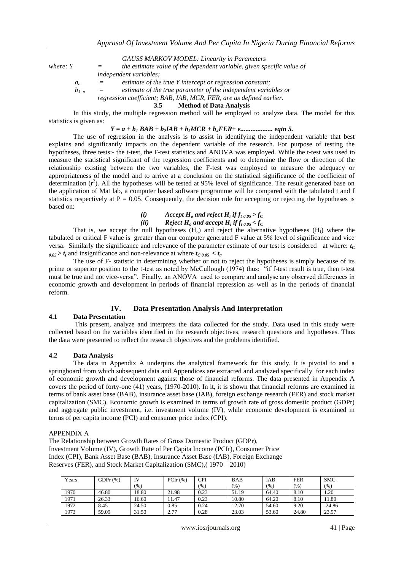*GAUSS MARKOV MODEL: Linearity in Parameters* 

*where: Y*  $=$  the estimate value of the dependent variable, given specific value of *independent variables;*

- $a<sub>o</sub>$  = estimate of the true Y intercept or regression constant;
- $b_{1,n}$  = estimate of the true parameter of the independent variables or

*regression coefficient; BAB, IAB, MCR, FER, are as defined earlier.*

**3.5 Method of Data Analysis**

In this study, the multiple regression method will be employed to analyze data. The model for this statistics is given as:

*Y = a + b<sup>1</sup> BAB + b2IAB + b3MCR + b4FER***+** *e................... eqtn 5.*

The use of regression in the analysis is to assist in identifying the independent variable that best explains and significantly impacts on the dependent variable of the research. For purpose of testing the hypotheses, three tests:- the t-test, the F-test statistics and ANOVA was employed. While the t-test was used to measure the statistical significant of the regression coefficients and to determine the flow or direction of the relationship existing between the two variables, the F-test was employed to measure the adequacy or appropriateness of the model and to arrive at a conclusion on the statistical significance of the coefficient of determination  $(r^2)$ . All the hypotheses will be tested at 95% level of significance. The result generated base on the application of Mat lab, a computer based software programme will be compared with the tabulated t and f statistics respectively at  $P = 0.05$ . Consequently, the decision rule for accepting or rejecting the hypotheses is based on:

*(i)*  $\qquad$  *Accept*  $H$ <sub>*o*</sub> and reject  $H$ <sub>*i*</sub> if  $f$ <sub>*t*</sub>  $_{0.05}$  >  $f$ <sub>*C*</sub>

*(ii) Reject* $H_o$ *and accept* $H_i$ *if* $f_t$  $_{0.05} < f_c$ 

That is, we accept the null hypotheses  $(H_0)$  and reject the alternative hypotheses  $(H_i)$  where the tabulated or critical F value is greater than our computer generated F value at 5% level of significance and vice versa. Similarly the significance and relevance of the parameter estimate of our test is considered at where:  $t_C$  $\omega_{0.05} > t_t$  and insignificance and non-relevance at where  $t_{C,0.05} < t_t$ .

The use of F- statistic in determining whether or not to reject the hypotheses is simply because of its prime or superior position to the t-test as noted by McCullough (1974) thus: "if f-test result is true, then t-test must be true and not vice-versa". Finally, an ANOVA used to compare and analyse any observed differences in economic growth and development in periods of financial repression as well as in the periods of financial reform.

## **IV. Data Presentation Analysis And Interpretation**

## **4.1 Data Presentation**

This present, analyze and interprets the data collected for the study. Data used in this study were collected based on the variables identified in the research objectives, research questions and hypotheses. Thus the data were presented to reflect the research objectives and the problems identified.

## **4.2 Data Analysis**

The data in Appendix A underpins the analytical framework for this study. It is pivotal to and a springboard from which subsequent data and Appendices are extracted and analyzed specifically for each index of economic growth and development against those of financial reforms. The data presented in Appendix A covers the period of forty-one (41) years, (1970-2010). In it, it is shown that financial reforms are examined in terms of bank asset base (BAB), insurance asset base (IAB), foreign exchange research (FER) and stock market capitalization (SMC). Economic growth is examined in terms of growth rate of gross domestic product (GDPr) and aggregate public investment, i.e. investment volume (IV), while economic development is examined in terms of per capita income (PCI) and consumer price index (CPI).

### APPENDIX A

The Relationship between Growth Rates of Gross Domestic Product (GDPr), Investment Volume (IV), Growth Rate of Per Capita Income (PCIr), Consumer Price Index (CPI), Bank Asset Base (BAB), Insurance Asset Base (IAB), Foreign Exchange Reserves (FER), and Stock Market Capitalization (SMC),( 1970 – 2010)

| Years | GDP $r$ $(\%)$ |       | $PClr(\%)$ | CPI  | <b>BAB</b> | IAB     | <b>FER</b> | <b>SMC</b> |
|-------|----------------|-------|------------|------|------------|---------|------------|------------|
|       |                | (%)   |            | (% ) | (% )       | $(\% )$ | (% )       | (% )       |
| 1970  | 46.80          | 18.80 | 21.98      | 0.23 | 51.19      | 64.40   | 8.10       | 1.20       |
| 1971  | 26.33          | 16.60 | 11.47      | 0.23 | 10.80      | 64.20   | 8.10       | 11.80      |
| 1972  | 8.45           | 24.50 | 0.85       | 0.24 | 12.70      | 54.60   | 9.20       | $-24.86$   |
| 1973  | 59.09          | 31.50 | 2.77       | 0.28 | 23.03      | 53.60   | 24.80      | 23.97      |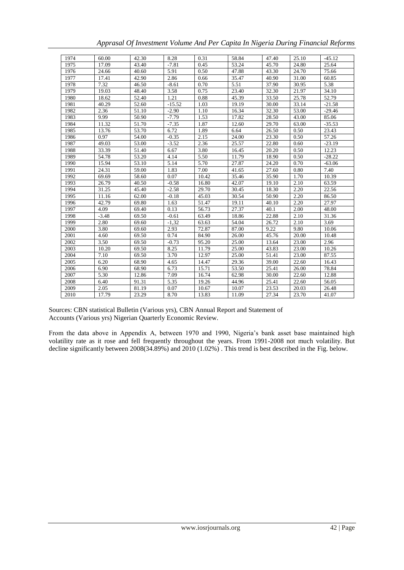| Apprasal Of Investment Volume And Per Capita In Nigeria During Financial Reforms |  |  |  |
|----------------------------------------------------------------------------------|--|--|--|
|                                                                                  |  |  |  |
|                                                                                  |  |  |  |
|                                                                                  |  |  |  |

| 1974 | 60.00   | 42.30 | 8.28     | 0.31  | 58.84 | 47.40 | 25.10 | $-45.12$ |
|------|---------|-------|----------|-------|-------|-------|-------|----------|
| 1975 | 17.09   | 43.40 | $-7.81$  | 0.45  | 53.24 | 45.70 | 24.80 | 25.64    |
| 1976 | 24.66   | 40.60 | 5.91     | 0.50  | 47.88 | 43.30 | 24.70 | 75.66    |
| 1977 | 17.41   | 42.90 | 2.86     | 0.66  | 35.47 | 40.90 | 31.00 | 60.85    |
| 1978 | 7.32    | 46.50 | $-8.61$  | 0.70  | 5.51  | 37.90 | 30.95 | 5.38     |
| 1979 | 19.03   | 48.40 | 3.58     | 0.75  | 23.40 | 32.30 | 21.97 | 34.10    |
| 1980 | 18.62   | 52.40 | 1.21     | 0.88  | 45.39 | 33.50 | 25.78 | 52.79    |
| 1981 | 40.29   | 52.60 | $-15.52$ | 1.03  | 19.19 | 30.00 | 33.14 | $-21.58$ |
| 1982 | 2.36    | 51.10 | $-2.90$  | 1.10  | 16.34 | 32.30 | 53.00 | $-29.46$ |
| 1983 | 9.99    | 50.90 | $-7.79$  | 1.53  | 17.82 | 28.50 | 43.00 | 85.06    |
| 1984 | 11.32   | 51.70 | $-7.35$  | 1.87  | 12.60 | 29.70 | 63.00 | $-35.53$ |
| 1985 | 13.76   | 53.70 | 6.72     | 1.89  | 6.64  | 26.50 | 0.50  | 23.43    |
| 1986 | 0.97    | 54.00 | $-0.35$  | 2.15  | 24.00 | 23.30 | 0.50  | 57.26    |
| 1987 | 49.03   | 53.00 | $-3.52$  | 2.36  | 25.57 | 22.80 | 0.60  | $-23.19$ |
| 1988 | 33.39   | 51.40 | 6.67     | 3.80  | 16.45 | 20.20 | 0.50  | 12.23    |
| 1989 | 54.78   | 53.20 | 4.14     | 5.50  | 11.79 | 18.90 | 0.50  | $-28.22$ |
| 1990 | 15.94   | 53.10 | 5.14     | 5.70  | 27.87 | 24.20 | 0.70  | $-63.06$ |
| 1991 | 24.31   | 59.00 | 1.83     | 7.00  | 41.65 | 27.60 | 0.80  | 7.40     |
| 1992 | 69.69   | 58.60 | 0.07     | 10.42 | 35.46 | 35.90 | 1.70  | 10.39    |
| 1993 | 26.79   | 40.50 | $-0.58$  | 16.80 | 42.07 | 19.10 | 2.10  | 63.59    |
| 1994 | 31.25   | 45.40 | $-2.58$  | 29.70 | 30.45 | 18.30 | 2.20  | 22.56    |
| 1995 | 11.16   | 62.00 | $-0.18$  | 45.03 | 30.54 | 50.90 | 2.20  | 86.50    |
| 1996 | 42.79   | 69.80 | 1.63     | 51.47 | 19.11 | 40.10 | 2.20  | 27.97    |
| 1997 | 4.09    | 69.40 | 0.13     | 56.73 | 27.37 | 40.1  | 2.00  | 48.00    |
| 1998 | $-3.48$ | 69.50 | $-0.61$  | 63.49 | 18.86 | 22.88 | 2.10  | 31.36    |
| 1999 | 2.80    | 69.60 | $-1,32$  | 63.63 | 54.04 | 26.72 | 2.10  | 3.69     |
| 2000 | 3.80    | 69.60 | 2.93     | 72.87 | 87.00 | 9.22  | 9.80  | 10.06    |
| 2001 | 4.60    | 69.50 | 0.74     | 84.90 | 26.00 | 45.76 | 20.00 | 10.48    |
| 2002 | 3.50    | 69.50 | $-0.73$  | 95.20 | 25.00 | 13.64 | 23.00 | 2.96     |
| 2003 | 10.20   | 69.50 | 8.25     | 11.79 | 25.00 | 43.83 | 23.00 | 10.26    |
| 2004 | 7.10    | 69.50 | 3.70     | 12.97 | 25.00 | 51.41 | 23.00 | 87.55    |
| 2005 | 6.20    | 68.90 | 4.65     | 14.47 | 29.36 | 39.00 | 22.60 | 16.43    |
| 2006 | 6.90    | 68.90 | 6.73     | 15.71 | 53.50 | 25.41 | 26.00 | 78.84    |
| 2007 | 5.30    | 12.86 | 7.09     | 16.74 | 62.98 | 30.00 | 22.60 | 12.88    |
| 2008 | 6.40    | 91.31 | 5.35     | 19.26 | 44.96 | 25.41 | 22.60 | 56.05    |
| 2009 | 2.05    | 81.19 | 0.07     | 10.67 | 10.07 | 23.53 | 20.03 | 26.48    |
| 2010 | 17.79   | 23.29 | 8.70     | 13.83 | 11.09 | 27.34 | 23.70 | 41.07    |

Sources: CBN statistical Bulletin (Various yrs), CBN Annual Report and Statement of Accounts (Various yrs) Nigerian Quarterly Economic Review.

From the data above in Appendix A, between 1970 and 1990, Nigeria's bank asset base maintained high volatility rate as it rose and fell frequently throughout the years. From 1991-2008 not much volatility. But decline significantly between 2008(34.89%) and 2010 (1.02%) . This trend is best described in the Fig. below.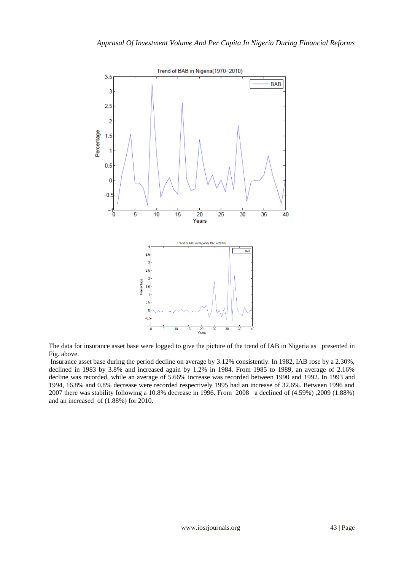

The data for insurance asset base were logged to give the picture of the trend of IAB in Nigeria as presented in Fig. above.

Insurance asset base during the period decline on average by 3.12% consistently. In 1982, IAB rose by a 2.30%, declined in 1983 by 3.8% and increased again by 1.2% in 1984. From 1985 to 1989, an average of 2.16% decline was recorded, while an average of 5.66% increase was recorded between 1990 and 1992. In 1993 and 1994, 16.8% and 0.8% decrease were recorded respectively 1995 had an increase of 32.6%. Between 1996 and 2007 there was stability following a 10.8% decrease in 1996. From 2008 a declined of (4.59%) ,2009 (1.88%) and an increased of (1.88%) for 2010.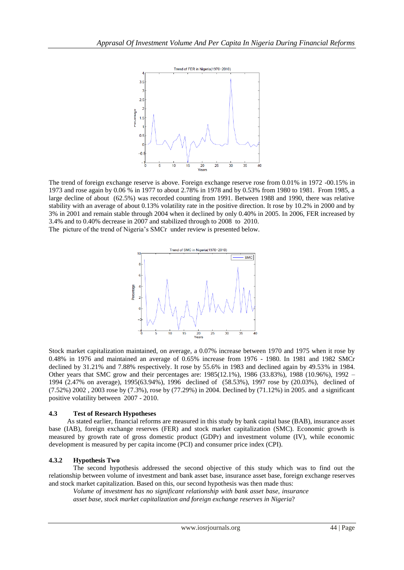

The trend of foreign exchange reserve is above. Foreign exchange reserve rose from 0.01% in 1972 -00.15% in 1973 and rose again by 0.06 % in 1977 to about 2.78% in 1978 and by 0.53% from 1980 to 1981. From 1985, a large decline of about (62.5%) was recorded counting from 1991. Between 1988 and 1990, there was relative stability with an average of about 0.13% volatility rate in the positive direction. It rose by 10.2% in 2000 and by 3% in 2001 and remain stable through 2004 when it declined by only 0.40% in 2005. In 2006, FER increased by 3.4% and to 0.40% decrease in 2007 and stabilized through to 2008 to 2010. The picture of the trend of Nigeria's SMCr under review is presented below.



Stock market capitalization maintained, on average, a 0.07% increase between 1970 and 1975 when it rose by 0.48% in 1976 and maintained an average of 0.65% increase from 1976 - 1980. In 1981 and 1982 SMCr declined by 31.21% and 7.88% respectively. It rose by 55.6% in 1983 and declined again by 49.53% in 1984. Other years that SMC grow and their percentages are: 1985(12.1%), 1986 (33.83%), 1988 (10.96%), 1992 – 1994 (2.47% on average), 1995(63.94%), 1996 declined of (58.53%), 1997 rose by (20.03%), declined of (7.52%) 2002 , 2003 rose by (7.3%), rose by (77.29%) in 2004. Declined by (71.12%) in 2005. and a significant positive volatility between 2007 - 2010.

## **4.3 Test of Research Hypotheses**

As stated earlier, financial reforms are measured in this study by bank capital base (BAB), insurance asset base (IAB), foreign exchange reserves (FER) and stock market capitalization (SMC). Economic growth is measured by growth rate of gross domestic product (GDPr) and investment volume (IV), while economic development is measured by per capita income (PCI) and consumer price index (CPI).

## **4.3.2 Hypothesis Two**

The second hypothesis addressed the second objective of this study which was to find out the relationship between volume of investment and bank asset base, insurance asset base, foreign exchange reserves and stock market capitalization. Based on this, our second hypothesis was then made thus:

*Volume of investment has no significant relationship with bank asset base, insurance asset base, stock market capitalization and foreign exchange reserves in Nigeria*?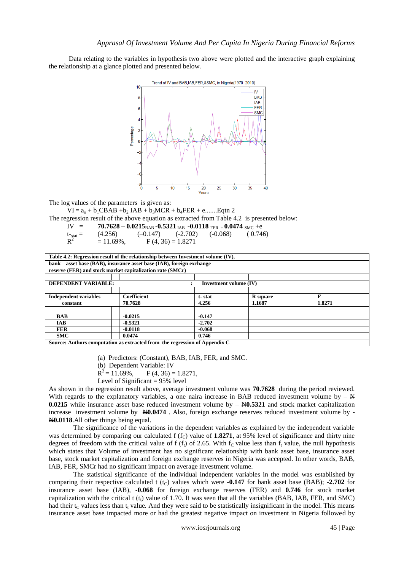Data relating to the variables in hypothesis two above were plotted and the interactive graph explaining the relationship at a glance plotted and presented below.



The log values of the parameters is given as:

 $VI = a_0 + b_1CBAB + b_2 IAB + b_3MCR + b_4FER + e$ .........Eqtn 2

The regression result of the above equation as extracted from Table 4.2 is presented below:

IV = **70.7628 - 0.0215**<sub>BAB</sub> -0.5321<sub>IAB</sub> -0.0118<sub>FER +</sub>0.0474<sub>SMC</sub> +e

$$
t_{\text{stat}} = (4.256) \qquad (-0.147) \qquad (-2.702) \qquad (-0.068) \qquad (0.746)
$$

 $R^2$  $= 11.69\%$ ,  $F (4, 36) = 1.8271$ 

| Table 4.2: Regression result of the relationship between Investment volume (IV), |                        |  |          |          |  |        |  |  |  |
|----------------------------------------------------------------------------------|------------------------|--|----------|----------|--|--------|--|--|--|
| asset base (BAB), insurance asset base (IAB), foreign exchange                   |                        |  |          |          |  |        |  |  |  |
| bank                                                                             |                        |  |          |          |  |        |  |  |  |
| reserve (FER) and stock market capitalization rate (SMCr)                        |                        |  |          |          |  |        |  |  |  |
|                                                                                  |                        |  |          |          |  |        |  |  |  |
| <b>DEPENDENT VARIABLE:</b>                                                       | Investment volume (IV) |  |          |          |  |        |  |  |  |
|                                                                                  |                        |  |          |          |  |        |  |  |  |
| <b>Independent variables</b>                                                     | <b>Coefficient</b>     |  | t-stat   | R square |  | F      |  |  |  |
| constant                                                                         | 70.7628                |  | 4.256    | 1.1687   |  | 1.8271 |  |  |  |
|                                                                                  |                        |  |          |          |  |        |  |  |  |
| <b>BAB</b>                                                                       | $-0.0215$              |  | $-0.147$ |          |  |        |  |  |  |
| <b>IAB</b>                                                                       | $-0.5321$              |  | $-2.702$ |          |  |        |  |  |  |
| <b>FER</b>                                                                       | $-0.0118$              |  | $-0.068$ |          |  |        |  |  |  |
| <b>SMC</b>                                                                       | 0.0474                 |  | 0.746    |          |  |        |  |  |  |
| Source: Authors computation as extracted from the regression of Appendix C       |                        |  |          |          |  |        |  |  |  |

- (a) Predictors: (Constant), BAB, IAB, FER, and SMC.
- (b) Dependent Variable: IV
- $R^2 = 11.69\%,$  $F (4, 36) = 1.8271,$
- Level of Significant  $= 95\%$  level

As shown in the regression result above, average investment volume was **70.7628** during the period reviewed. With regards to the explanatory variables, a one naira increase in BAB reduced investment volume by  $- \frac{N}{2}$ **0.0215** while insurance asset base reduced investment volume by  $-\cancel{0.0215}$  and stock market capitalization increase investment volume by  $\cancel{\text{N}0.0474}$ . Also, foreign exchange reserves reduced investment volume by -N**0.0118**.All other things being equal.

The significance of the variations in the dependent variables as explained by the independent variable was determined by comparing our calculated  $f(f_C)$  value of 1.8271, at 95% level of significance and thirty nine degrees of freedom with the critical value of f  $(f<sub>t</sub>)$  of 2.65. With  $f<sub>C</sub>$  value less than  $f<sub>t</sub>$  value, the null hypothesis which states that Volume of investment has no significant relationship with bank asset base, insurance asset base, stock market capitalization and foreign exchange reserves in Nigeria was accepted. In other words, BAB, IAB, FER, SMCr had no significant impact on average investment volume.

The statistical significance of the individual independent variables in the model was established by comparing their respective calculated t  $(t<sub>C</sub>)$  values which were **-0.147** for bank asset base (BAB); **-2.702** for insurance asset base (IAB), **-0.068** for foreign exchange reserves (FER) and **0.746** for stock market capitalization with the critical t  $(t_1)$  value of 1.70. It was seen that all the variables (BAB, IAB, FER, and SMC) had their  $t_c$  values less than  $t_t$  value. And they were said to be statistically insignificant in the model. This means insurance asset base impacted more or had the greatest negative impact on investment in Nigeria followed by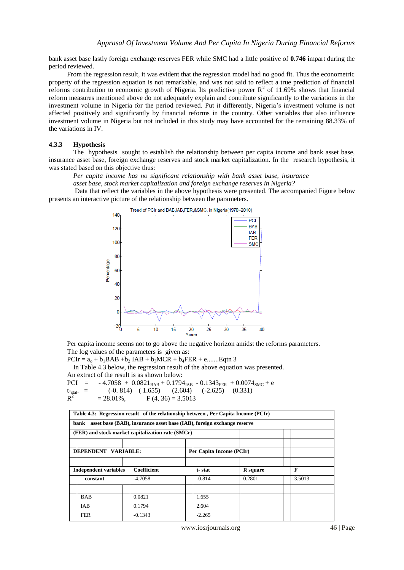bank asset base lastly foreign exchange reserves FER while SMC had a little positive of **0.746 i**mpart during the period reviewed.

From the regression result, it was evident that the regression model had no good fit. Thus the econometric property of the regression equation is not remarkable, and was not said to reflect a true prediction of financial reforms contribution to economic growth of Nigeria. Its predictive power  $R^2$  of 11.69% shows that financial reform measures mentioned above do not adequately explain and contribute significantly to the variations in the investment volume in Nigeria for the period reviewed. Put it differently, Nigeria's investment volume is not affected positively and significantly by financial reforms in the country. Other variables that also influence investment volume in Nigeria but not included in this study may have accounted for the remaining 88.33% of the variations in IV.

## **4.3.3 Hypothesis**

The hypothesis sought to establish the relationship between per capita income and bank asset base, insurance asset base, foreign exchange reserves and stock market capitalization. In the research hypothesis, it was stated based on this objective thus:

*Per capita income has no significant relationship with bank asset base, insurance asset base, stock market capitalization and foreign exchange reserves in Nigeria?*

Data that reflect the variables in the above hypothesis were presented. The accompanied Figure below presents an interactive picture of the relationship between the parameters.



Per capita income seems not to go above the negative horizon amidst the reforms parameters. The log values of the parameters is given as:

 $PCIr = a_0 + b_1BAB + b_2IAB + b_3MCR + b_4FER + e$ .........Eqtn 3

In Table 4.3 below, the regression result of the above equation was presented. An extract of the result is as shown below:

PCI =  $-4.7058 + 0.0821_{BAB} + 0.1794_{IAB} - 0.1343_{FER} + 0.0074_{SMC} + e$  $(-0.814)$   $(1.655)$   $(2.604)$   $(-2.625)$   $(0.331)$  $R^2$  $= 28.01\%$ , F (4, 36) = 3.5013

| Table 4.3: Regression result of the relationship between, Per Capita Income (PCIr)<br>asset base (BAB), insurance asset base (IAB), foreign exchange reserve<br>bank |             |          |                 |        |  |  |  |  |  |
|----------------------------------------------------------------------------------------------------------------------------------------------------------------------|-------------|----------|-----------------|--------|--|--|--|--|--|
| (FER) and stock market capitalization rate (SMCr)                                                                                                                    |             |          |                 |        |  |  |  |  |  |
| DEPENDENT VARIABLE:                                                                                                                                                  |             |          |                 |        |  |  |  |  |  |
| <b>Independent variables</b>                                                                                                                                         | Coefficient | t-stat   | <b>R</b> square | F      |  |  |  |  |  |
| constant                                                                                                                                                             | $-4.7058$   | $-0.814$ | 0.2801          | 3.5013 |  |  |  |  |  |
| <b>BAB</b>                                                                                                                                                           | 0.0821      | 1.655    |                 |        |  |  |  |  |  |
| <b>IAB</b>                                                                                                                                                           | 0.1794      | 2.604    |                 |        |  |  |  |  |  |
| <b>FER</b>                                                                                                                                                           | $-0.1343$   | $-2.265$ |                 |        |  |  |  |  |  |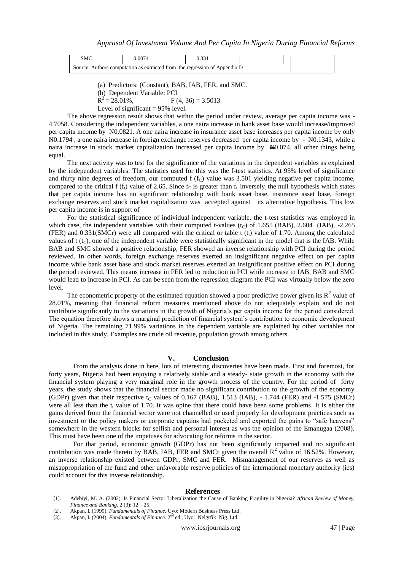| SMC | 0.0074                                                                     |  |  |  |
|-----|----------------------------------------------------------------------------|--|--|--|
|     | Source: Authors computation as extracted from the regression of Appendix D |  |  |  |

<sup>(</sup>a) Predictors: (Constant), BAB, IAB, FER, and SMC.

 $R^2 = 28.01\%$ ,  $F (4, 36) = 3.5013$ 

Level of significant  $= 95\%$  level.

The above regression result shows that within the period under review, average per capita income was - 4.7058. Considering the independent variables, a one naira increase in bank asset base would increase/improved per capita income by  $\frac{N}{20.0821}$ . A one naira increase in insurance asset base increases per capita income by only N0.1794 , a one naira increase in foreign exchange reserves decreased per capita income by - N0.1343, while a naira increase in stock market capitalization increased per capita income by N0.074. all other things being equal.

The next activity was to test for the significance of the variations in the dependent variables as explained by the independent variables. The statistics used for this was the f-test statistics. At 95% level of significance and thirty nine degrees of freedom, our computed f  $(f<sub>C</sub>)$  value was 3.501 yielding negative per capita income, compared to the critical f ( $f_t$ ) value of 2.65. Since  $f_c$  is greater than  $f_t$  inversely, the null hypothesis which states that per capita income has no significant relationship with bank asset base, insurance asset base, foreign exchange reserves and stock market capitalization was accepted against its alternative hypothesis. This low per capita income is in support of

For the statistical significance of individual independent variable, the t-test statistics was employed in which case, the independent variables with their computed t-values  $(t<sub>C</sub>)$  of 1.655 (BAB), 2.604 (IAB), -2.265 (FER) and  $0.331(SMCr)$  were all compared with the critical or table t (t<sub>t</sub>) value of 1.70. Among the calculated values of  $t$  ( $t<sub>C</sub>$ ), one of the independent variable were statistically significant in the model that is the IAB. While BAB and SMC showed a positive relationship, FER showed an inverse relationship with PCI during the period reviewed. In other words, foreign exchange reserves exerted an insignificant negative effect on per capita income while bank asset base and stock market reserves exerted an insignificant positive effect on PCI during the period reviewed. This means increase in FER led to reduction in PCI while increase in IAB, BAB and SMC would lead to increase in PCI. As can be seen from the regression diagram the PCI was virtually below the zero level.

The econometric property of the estimated equation showed a poor predictive power given its  $\mathbb{R}^2$  value of 28.01%, meaning that financial reform measures mentioned above do not adequately explain and do not contribute significantly to the variations in the growth of Nigeria's per capita income for the period considered. The equation therefore shows a marginal prediction of financial system's contribution to economic development of Nigeria. The remaining 71.99% variations in the dependent variable are explained by other variables not included in this study. Examples are crude oil revenue, population growth among others.

### **V. Conclusion**

From the analysis done in here, lots of interesting discoveries have been made. First and foremost, for forty years, Nigeria had been enjoying a relatively stable and a steady- state growth in the economy with the financial system playing a very marginal role in the growth process of the country. For the period of forty years, the study shows that the financial sector made no significant contribution to the growth of the economy (GDPr) given that their respective t<sub>c</sub> values of 0.167 (BAB), 1.513 (IAB),  $-1.744$  (FER) and  $-1.575$  (SMCr) were all less than the  $t_t$  value of 1.70. It was opine that there could have been some problems. It is either the gains derived from the financial sector were not channelled or used properly for development practices such as investment or the policy makers or corporate captains had pocketed and exported the gains to "safe heavens" somewhere in the western blocks for selfish and personal interest as was the opinion of the Emanugaa (2008). This must have been one of the impetuses for advocating for reforms in the sector.

For that period, economic growth (GDPr) has not been significantly impacted and no significant contribution was made thereto by BAB, IAB, FER and SMCr given the overall  $R^2$  value of 16.52%. However, an inverse relationship existed between GDPr, SMC and FER. Mismanagement of our reserves as well as misappropriation of the fund and other unfavorable reserve policies of the international monetary authority (ies) could account for this inverse relationship.

#### **References**

- [1]. Adebiyi, M. A. (2002). Is Financial Sector Liberalization the Cause of Banking Fragility in Nigeria? *African Review of Money, Finance and Banking*, 2 (3): 12 – 25.
- [2]. Akpan, I. (1999). *Fundamentals of Finance*. Uyo: Modern Business Press Ltd.
- [3]. Akpan, I. (2004). *Fundamentals of Finance*. 2<sup>nd</sup> ed., Uyo: Nelgrfik Nig. Ltd.

<sup>(</sup>b) Dependent Variable: PCI